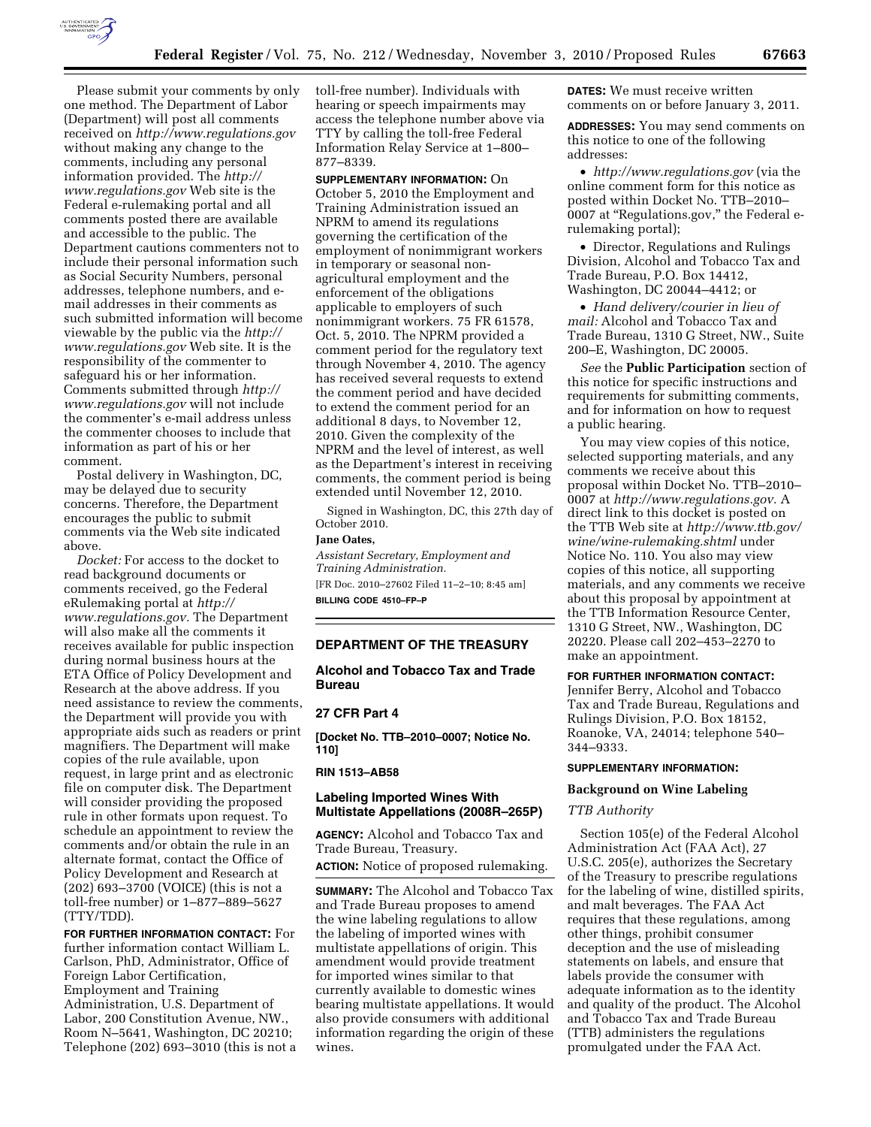

Please submit your comments by only one method. The Department of Labor (Department) will post all comments received on *<http://www.regulations.gov>* without making any change to the comments, including any personal information provided. The *[http://](http://www.regulations.gov)  [www.regulations.gov](http://www.regulations.gov)* Web site is the Federal e-rulemaking portal and all comments posted there are available and accessible to the public. The Department cautions commenters not to include their personal information such as Social Security Numbers, personal addresses, telephone numbers, and email addresses in their comments as such submitted information will become viewable by the public via the *[http://](http://www.regulations.gov) [www.regulations.gov](http://www.regulations.gov)* Web site. It is the responsibility of the commenter to safeguard his or her information. Comments submitted through *[http://](http://www.regulations.gov)  [www.regulations.gov](http://www.regulations.gov)* will not include the commenter's e-mail address unless the commenter chooses to include that information as part of his or her comment.

Postal delivery in Washington, DC, may be delayed due to security concerns. Therefore, the Department encourages the public to submit comments via the Web site indicated above.

*Docket:* For access to the docket to read background documents or comments received, go the Federal eRulemaking portal at *[http://](http://www.regulations.gov)  [www.regulations.gov.](http://www.regulations.gov)* The Department will also make all the comments it receives available for public inspection during normal business hours at the ETA Office of Policy Development and Research at the above address. If you need assistance to review the comments, the Department will provide you with appropriate aids such as readers or print magnifiers. The Department will make copies of the rule available, upon request, in large print and as electronic file on computer disk. The Department will consider providing the proposed rule in other formats upon request. To schedule an appointment to review the comments and/or obtain the rule in an alternate format, contact the Office of Policy Development and Research at (202) 693–3700 (VOICE) (this is not a toll-free number) or 1–877–889–5627 (TTY/TDD).

**FOR FURTHER INFORMATION CONTACT:** For further information contact William L. Carlson, PhD, Administrator, Office of Foreign Labor Certification, Employment and Training Administration, U.S. Department of Labor, 200 Constitution Avenue, NW., Room N–5641, Washington, DC 20210; Telephone (202) 693–3010 (this is not a toll-free number). Individuals with hearing or speech impairments may access the telephone number above via TTY by calling the toll-free Federal Information Relay Service at 1–800– 877–8339.

**SUPPLEMENTARY INFORMATION:** On October 5, 2010 the Employment and Training Administration issued an NPRM to amend its regulations governing the certification of the employment of nonimmigrant workers in temporary or seasonal nonagricultural employment and the enforcement of the obligations applicable to employers of such nonimmigrant workers. 75 FR 61578, Oct. 5, 2010. The NPRM provided a comment period for the regulatory text through November 4, 2010. The agency has received several requests to extend the comment period and have decided to extend the comment period for an additional 8 days, to November 12, 2010. Given the complexity of the NPRM and the level of interest, as well as the Department's interest in receiving comments, the comment period is being extended until November 12, 2010.

Signed in Washington, DC, this 27th day of October 2010.

# **Jane Oates,**

*Assistant Secretary, Employment and Training Administration.*  [FR Doc. 2010–27602 Filed 11–2–10; 8:45 am] **BILLING CODE 4510–FP–P** 

# **DEPARTMENT OF THE TREASURY**

**Alcohol and Tobacco Tax and Trade Bureau** 

## **27 CFR Part 4**

**[Docket No. TTB–2010–0007; Notice No. 110]** 

**RIN 1513–AB58** 

# **Labeling Imported Wines With Multistate Appellations (2008R–265P)**

**AGENCY:** Alcohol and Tobacco Tax and Trade Bureau, Treasury.

**ACTION:** Notice of proposed rulemaking.

**SUMMARY:** The Alcohol and Tobacco Tax and Trade Bureau proposes to amend the wine labeling regulations to allow the labeling of imported wines with multistate appellations of origin. This amendment would provide treatment for imported wines similar to that currently available to domestic wines bearing multistate appellations. It would also provide consumers with additional information regarding the origin of these wines.

**DATES:** We must receive written comments on or before January 3, 2011.

**ADDRESSES:** You may send comments on this notice to one of the following addresses:

• *<http://www.regulations.gov>* (via the online comment form for this notice as posted within Docket No. TTB–2010– 0007 at ''Regulations.gov,'' the Federal erulemaking portal);

• Director, Regulations and Rulings Division, Alcohol and Tobacco Tax and Trade Bureau, P.O. Box 14412, Washington, DC 20044–4412; or

• *Hand delivery/courier in lieu of mail:* Alcohol and Tobacco Tax and Trade Bureau, 1310 G Street, NW., Suite 200–E, Washington, DC 20005.

*See* the **Public Participation** section of this notice for specific instructions and requirements for submitting comments, and for information on how to request a public hearing.

You may view copies of this notice, selected supporting materials, and any comments we receive about this proposal within Docket No. TTB–2010– 0007 at *[http://www.regulations.gov.](http://www.regulations.gov)* A direct link to this docket is posted on the TTB Web site at *[http://www.ttb.gov/](http://www.ttb.gov/wine/wine-rulemaking.shtml) [wine/wine-rulemaking.shtml](http://www.ttb.gov/wine/wine-rulemaking.shtml)* under Notice No. 110. You also may view copies of this notice, all supporting materials, and any comments we receive about this proposal by appointment at the TTB Information Resource Center, 1310 G Street, NW., Washington, DC 20220. Please call 202–453–2270 to make an appointment.

**FOR FURTHER INFORMATION CONTACT:**  Jennifer Berry, Alcohol and Tobacco Tax and Trade Bureau, Regulations and Rulings Division, P.O. Box 18152, Roanoke, VA, 24014; telephone 540– 344–9333.

## **SUPPLEMENTARY INFORMATION:**

# **Background on Wine Labeling**

### *TTB Authority*

Section 105(e) of the Federal Alcohol Administration Act (FAA Act), 27 U.S.C. 205(e), authorizes the Secretary of the Treasury to prescribe regulations for the labeling of wine, distilled spirits, and malt beverages. The FAA Act requires that these regulations, among other things, prohibit consumer deception and the use of misleading statements on labels, and ensure that labels provide the consumer with adequate information as to the identity and quality of the product. The Alcohol and Tobacco Tax and Trade Bureau (TTB) administers the regulations promulgated under the FAA Act.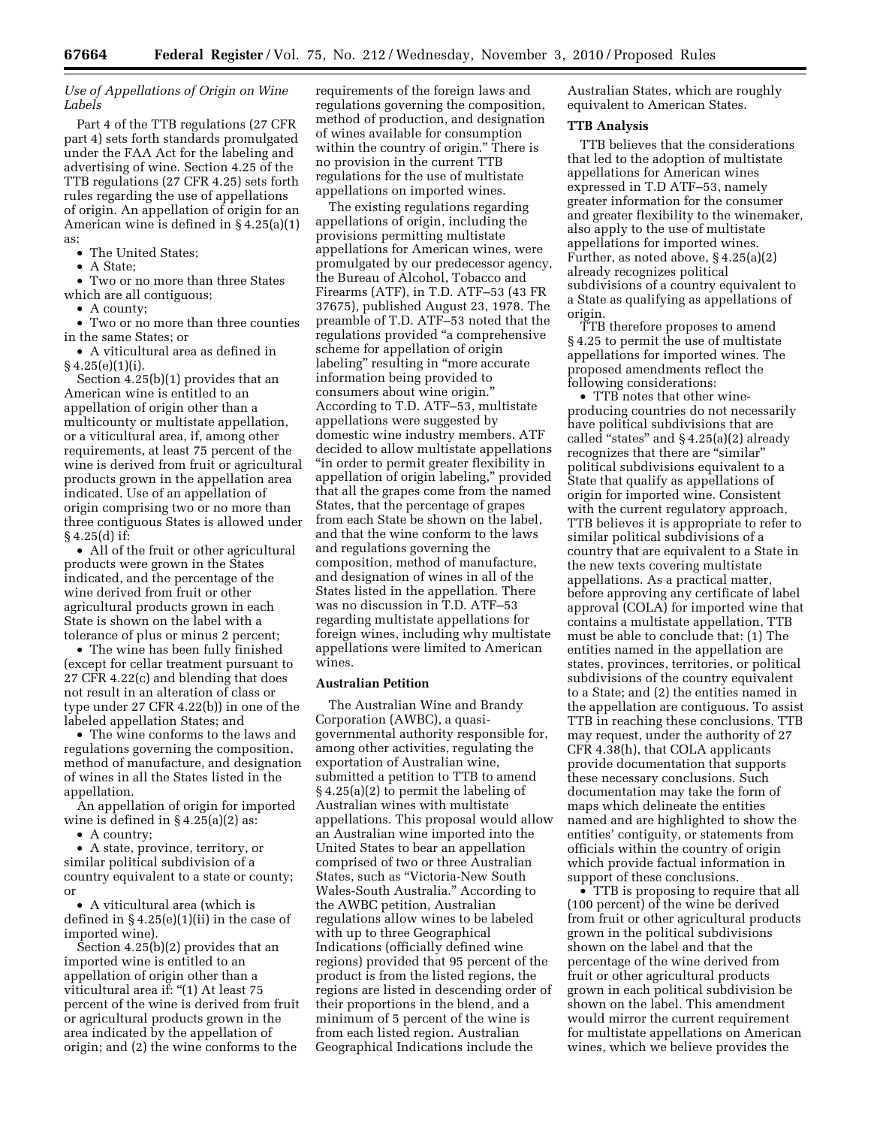*Use of Appellations of Origin on Wine Labels* 

Part 4 of the TTB regulations (27 CFR part 4) sets forth standards promulgated under the FAA Act for the labeling and advertising of wine. Section 4.25 of the TTB regulations (27 CFR 4.25) sets forth rules regarding the use of appellations of origin. An appellation of origin for an American wine is defined in § 4.25(a)(1) as:

- The United States;
- A State;

• Two or no more than three States which are all contiguous;

• A county;

• Two or no more than three counties in the same States; or • A viticultural area as defined in

 $§ 4.25(e)(1)(i).$ 

Section 4.25(b)(1) provides that an American wine is entitled to an appellation of origin other than a multicounty or multistate appellation, or a viticultural area, if, among other requirements, at least 75 percent of the wine is derived from fruit or agricultural products grown in the appellation area indicated. Use of an appellation of origin comprising two or no more than three contiguous States is allowed under § 4.25(d) if:

• All of the fruit or other agricultural products were grown in the States indicated, and the percentage of the wine derived from fruit or other agricultural products grown in each State is shown on the label with a tolerance of plus or minus 2 percent;

• The wine has been fully finished (except for cellar treatment pursuant to 27 CFR 4.22(c) and blending that does not result in an alteration of class or type under 27 CFR 4.22(b)) in one of the labeled appellation States; and

• The wine conforms to the laws and regulations governing the composition, method of manufacture, and designation of wines in all the States listed in the appellation.

An appellation of origin for imported wine is defined in  $§ 4.25(a)(2)$  as:

• A country;

• A state, province, territory, or similar political subdivision of a country equivalent to a state or county; or

• A viticultural area (which is defined in  $\S 4.25(e)(1)(ii)$  in the case of imported wine).

Section 4.25(b)(2) provides that an imported wine is entitled to an appellation of origin other than a viticultural area if: "(1) At least 75 percent of the wine is derived from fruit or agricultural products grown in the area indicated by the appellation of origin; and (2) the wine conforms to the

requirements of the foreign laws and regulations governing the composition, method of production, and designation of wines available for consumption within the country of origin.'' There is no provision in the current TTB regulations for the use of multistate appellations on imported wines.

The existing regulations regarding appellations of origin, including the provisions permitting multistate appellations for American wines, were promulgated by our predecessor agency, the Bureau of Alcohol, Tobacco and Firearms (ATF), in T.D. ATF–53 (43 FR 37675), published August 23, 1978. The preamble of T.D. ATF–53 noted that the regulations provided ''a comprehensive scheme for appellation of origin labeling'' resulting in ''more accurate information being provided to consumers about wine origin.'' According to T.D. ATF–53, multistate appellations were suggested by domestic wine industry members. ATF decided to allow multistate appellations ''in order to permit greater flexibility in appellation of origin labeling,'' provided that all the grapes come from the named States, that the percentage of grapes from each State be shown on the label, and that the wine conform to the laws and regulations governing the composition, method of manufacture, and designation of wines in all of the States listed in the appellation. There was no discussion in T.D. ATF–53 regarding multistate appellations for foreign wines, including why multistate appellations were limited to American wines.

# **Australian Petition**

The Australian Wine and Brandy Corporation (AWBC), a quasigovernmental authority responsible for, among other activities, regulating the exportation of Australian wine, submitted a petition to TTB to amend § 4.25(a)(2) to permit the labeling of Australian wines with multistate appellations. This proposal would allow an Australian wine imported into the United States to bear an appellation comprised of two or three Australian States, such as ''Victoria-New South Wales-South Australia.'' According to the AWBC petition, Australian regulations allow wines to be labeled with up to three Geographical Indications (officially defined wine regions) provided that 95 percent of the product is from the listed regions, the regions are listed in descending order of their proportions in the blend, and a minimum of 5 percent of the wine is from each listed region. Australian Geographical Indications include the

Australian States, which are roughly equivalent to American States.

#### **TTB Analysis**

TTB believes that the considerations that led to the adoption of multistate appellations for American wines expressed in T.D ATF–53, namely greater information for the consumer and greater flexibility to the winemaker, also apply to the use of multistate appellations for imported wines. Further, as noted above, § 4.25(a)(2) already recognizes political subdivisions of a country equivalent to a State as qualifying as appellations of origin.

TTB therefore proposes to amend § 4.25 to permit the use of multistate appellations for imported wines. The proposed amendments reflect the following considerations:

• TTB notes that other wineproducing countries do not necessarily have political subdivisions that are called "states" and  $§ 4.25(a)(2)$  already recognizes that there are "similar" political subdivisions equivalent to a State that qualify as appellations of origin for imported wine. Consistent with the current regulatory approach, TTB believes it is appropriate to refer to similar political subdivisions of a country that are equivalent to a State in the new texts covering multistate appellations. As a practical matter, before approving any certificate of label approval (COLA) for imported wine that contains a multistate appellation, TTB must be able to conclude that: (1) The entities named in the appellation are states, provinces, territories, or political subdivisions of the country equivalent to a State; and (2) the entities named in the appellation are contiguous. To assist TTB in reaching these conclusions, TTB may request, under the authority of 27 CFR 4.38(h), that COLA applicants provide documentation that supports these necessary conclusions. Such documentation may take the form of maps which delineate the entities named and are highlighted to show the entities' contiguity, or statements from officials within the country of origin which provide factual information in support of these conclusions.

• TTB is proposing to require that all (100 percent) of the wine be derived from fruit or other agricultural products grown in the political subdivisions shown on the label and that the percentage of the wine derived from fruit or other agricultural products grown in each political subdivision be shown on the label. This amendment would mirror the current requirement for multistate appellations on American wines, which we believe provides the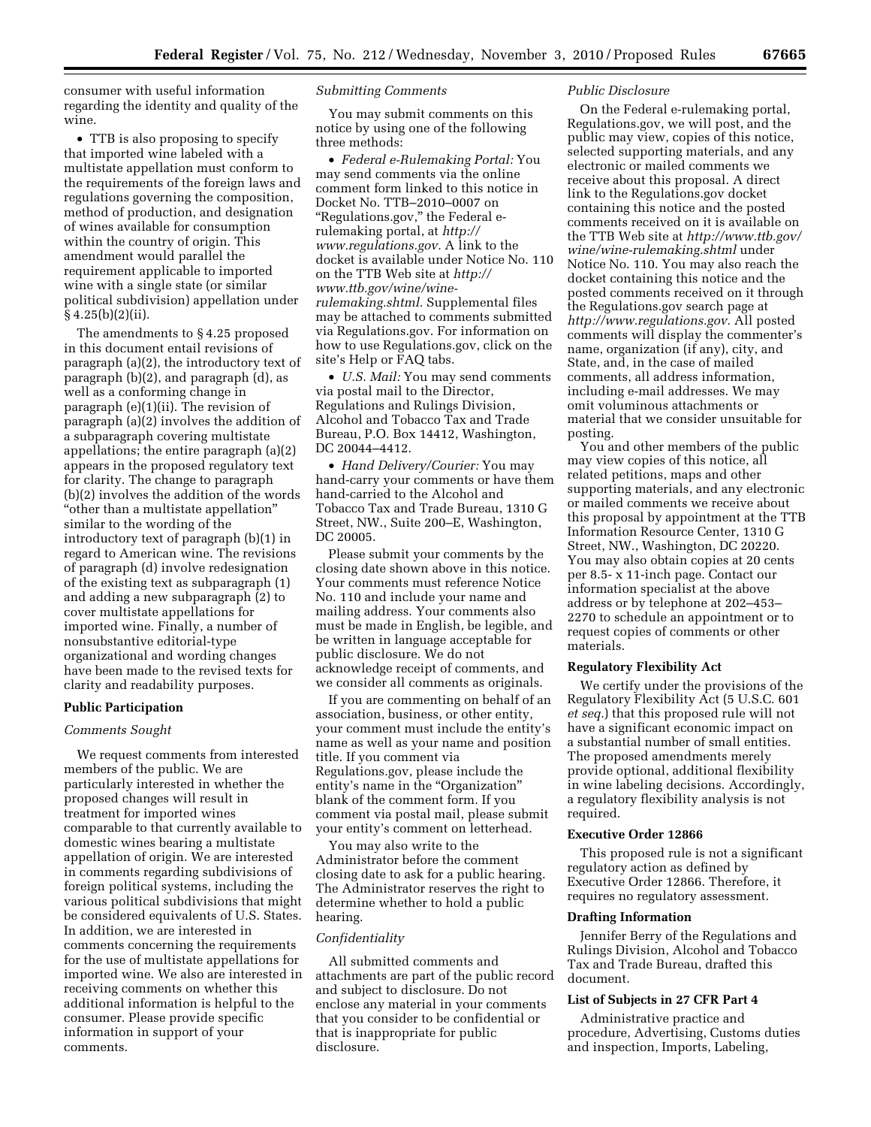consumer with useful information regarding the identity and quality of the wine.

• TTB is also proposing to specify that imported wine labeled with a multistate appellation must conform to the requirements of the foreign laws and regulations governing the composition, method of production, and designation of wines available for consumption within the country of origin. This amendment would parallel the requirement applicable to imported wine with a single state (or similar political subdivision) appellation under  $§ 4.25(b)(2)(ii).$ 

The amendments to § 4.25 proposed in this document entail revisions of paragraph (a)(2), the introductory text of paragraph (b)(2), and paragraph (d), as well as a conforming change in paragraph (e)(1)(ii). The revision of paragraph (a)(2) involves the addition of a subparagraph covering multistate appellations; the entire paragraph (a)(2) appears in the proposed regulatory text for clarity. The change to paragraph (b)(2) involves the addition of the words ''other than a multistate appellation'' similar to the wording of the introductory text of paragraph (b)(1) in regard to American wine. The revisions of paragraph (d) involve redesignation of the existing text as subparagraph (1) and adding a new subparagraph (2) to cover multistate appellations for imported wine. Finally, a number of nonsubstantive editorial-type organizational and wording changes have been made to the revised texts for clarity and readability purposes.

## **Public Participation**

#### *Comments Sought*

We request comments from interested members of the public. We are particularly interested in whether the proposed changes will result in treatment for imported wines comparable to that currently available to domestic wines bearing a multistate appellation of origin. We are interested in comments regarding subdivisions of foreign political systems, including the various political subdivisions that might be considered equivalents of U.S. States. In addition, we are interested in comments concerning the requirements for the use of multistate appellations for imported wine. We also are interested in receiving comments on whether this additional information is helpful to the consumer. Please provide specific information in support of your comments.

# *Submitting Comments*

You may submit comments on this notice by using one of the following three methods:

• *Federal e-Rulemaking Portal:* You may send comments via the online comment form linked to this notice in Docket No. TTB–2010–0007 on ''Regulations.gov,'' the Federal erulemaking portal, at *[http://](http://www.regulations.gov) [www.regulations.gov.](http://www.regulations.gov)* A link to the docket is available under Notice No. 110 on the TTB Web site at *[http://](http://www.ttb.gov/wine/wine-rulemaking.shtml) [www.ttb.gov/wine/wine](http://www.ttb.gov/wine/wine-rulemaking.shtml)[rulemaking.shtml.](http://www.ttb.gov/wine/wine-rulemaking.shtml)* Supplemental files may be attached to comments submitted via Regulations.gov. For information on how to use Regulations.gov, click on the site's Help or FAQ tabs.

• *U.S. Mail:* You may send comments via postal mail to the Director, Regulations and Rulings Division, Alcohol and Tobacco Tax and Trade Bureau, P.O. Box 14412, Washington, DC 20044–4412.

• *Hand Delivery/Courier:* You may hand-carry your comments or have them hand-carried to the Alcohol and Tobacco Tax and Trade Bureau, 1310 G Street, NW., Suite 200–E, Washington, DC 20005.

Please submit your comments by the closing date shown above in this notice. Your comments must reference Notice No. 110 and include your name and mailing address. Your comments also must be made in English, be legible, and be written in language acceptable for public disclosure. We do not acknowledge receipt of comments, and we consider all comments as originals.

If you are commenting on behalf of an association, business, or other entity, your comment must include the entity's name as well as your name and position title. If you comment via Regulations.gov, please include the entity's name in the "Organization" blank of the comment form. If you comment via postal mail, please submit your entity's comment on letterhead.

You may also write to the Administrator before the comment closing date to ask for a public hearing. The Administrator reserves the right to determine whether to hold a public hearing.

#### *Confidentiality*

All submitted comments and attachments are part of the public record and subject to disclosure. Do not enclose any material in your comments that you consider to be confidential or that is inappropriate for public disclosure.

# *Public Disclosure*

On the Federal e-rulemaking portal, Regulations.gov, we will post, and the public may view, copies of this notice, selected supporting materials, and any electronic or mailed comments we receive about this proposal. A direct link to the Regulations.gov docket containing this notice and the posted comments received on it is available on the TTB Web site at *[http://www.ttb.gov/](http://www.ttb.gov/wine/wine-rulemaking.shtml) [wine/wine-rulemaking.shtml](http://www.ttb.gov/wine/wine-rulemaking.shtml)* under Notice No. 110. You may also reach the docket containing this notice and the posted comments received on it through the Regulations.gov search page at *[http://www.regulations.gov.](http://www.regulations.gov)* All posted comments will display the commenter's name, organization (if any), city, and State, and, in the case of mailed comments, all address information, including e-mail addresses. We may omit voluminous attachments or material that we consider unsuitable for posting.

You and other members of the public may view copies of this notice, all related petitions, maps and other supporting materials, and any electronic or mailed comments we receive about this proposal by appointment at the TTB Information Resource Center, 1310 G Street, NW., Washington, DC 20220. You may also obtain copies at 20 cents per 8.5- x 11-inch page. Contact our information specialist at the above address or by telephone at 202–453– 2270 to schedule an appointment or to request copies of comments or other materials.

#### **Regulatory Flexibility Act**

We certify under the provisions of the Regulatory Flexibility Act (5 U.S.C. 601 *et seq.*) that this proposed rule will not have a significant economic impact on a substantial number of small entities. The proposed amendments merely provide optional, additional flexibility in wine labeling decisions. Accordingly, a regulatory flexibility analysis is not required.

#### **Executive Order 12866**

This proposed rule is not a significant regulatory action as defined by Executive Order 12866. Therefore, it requires no regulatory assessment.

# **Drafting Information**

Jennifer Berry of the Regulations and Rulings Division, Alcohol and Tobacco Tax and Trade Bureau, drafted this document.

# **List of Subjects in 27 CFR Part 4**

Administrative practice and procedure, Advertising, Customs duties and inspection, Imports, Labeling,